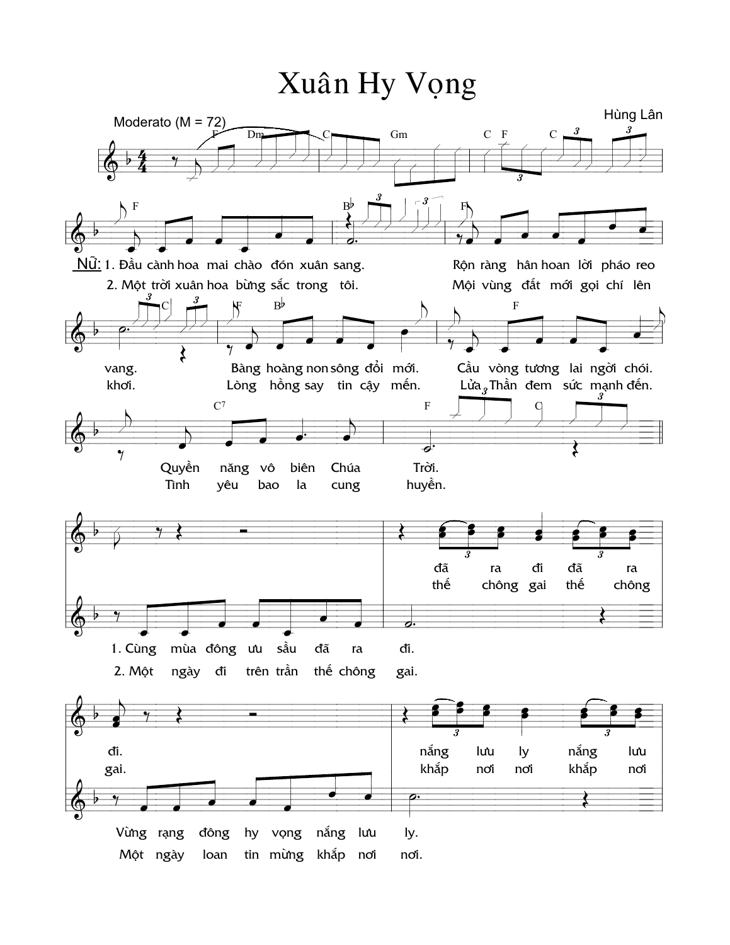## Xuân Hy Vọng